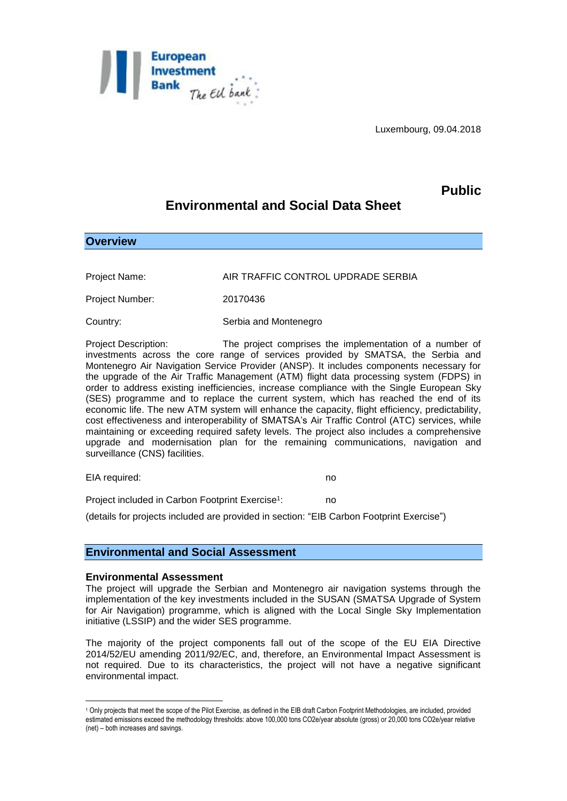

Luxembourg, 09.04.2018

## **Public**

# **Environmental and Social Data Sheet**

**Overview**

Project Name: AIR TRAFFIC CONTROL UPDRADE SERBIA

Project Number: 20170436

Country: Serbia and Montenegro

Project Description: The project comprises the implementation of a number of investments across the core range of services provided by SMATSA, the Serbia and Montenegro Air Navigation Service Provider (ANSP). It includes components necessary for the upgrade of the Air Traffic Management (ATM) flight data processing system (FDPS) in order to address existing inefficiencies, increase compliance with the Single European Sky (SES) programme and to replace the current system, which has reached the end of its economic life. The new ATM system will enhance the capacity, flight efficiency, predictability, cost effectiveness and interoperability of SMATSA's Air Traffic Control (ATC) services, while maintaining or exceeding required safety levels. The project also includes a comprehensive upgrade and modernisation plan for the remaining communications, navigation and surveillance (CNS) facilities.

EIA required: no

Project included in Carbon Footprint Exercise<sup>1</sup>: : no

(details for projects included are provided in section: "EIB Carbon Footprint Exercise")

## **Environmental and Social Assessment**

#### **Environmental Assessment**

The project will upgrade the Serbian and Montenegro air navigation systems through the implementation of the key investments included in the SUSAN (SMATSA Upgrade of System for Air Navigation) programme, which is aligned with the Local Single Sky Implementation initiative (LSSIP) and the wider SES programme.

The majority of the project components fall out of the scope of the EU EIA Directive 2014/52/EU amending 2011/92/EC, and, therefore, an Environmental Impact Assessment is not required. Due to its characteristics, the project will not have a negative significant environmental impact.

<sup>&</sup>lt;u>.</u> <sup>1</sup> Only projects that meet the scope of the Pilot Exercise, as defined in the EIB draft Carbon Footprint Methodologies, are included, provided estimated emissions exceed the methodology thresholds: above 100,000 tons CO2e/year absolute (gross) or 20,000 tons CO2e/year relative (net) – both increases and savings.